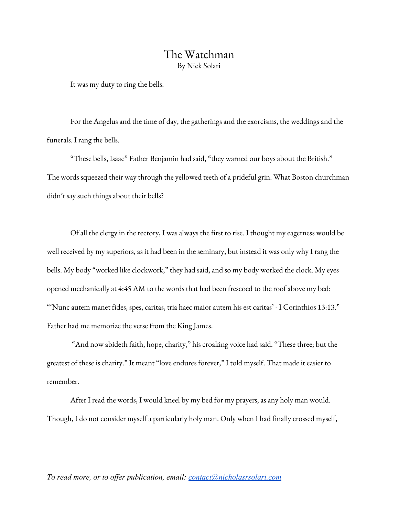## The Watchman By Nick Solari

It was my duty to ring the bells.

For the Angelus and the time of day, the gatherings and the exorcisms, the weddings and the funerals. I rang the bells.

"These bells, Isaac" Father Benjamin had said, "they warned our boys about the British." The words squeezed their way through the yellowed teeth of a prideful grin. What Boston churchman didn't say such things about their bells?

Of all the clergy in the rectory, I was always the first to rise. I thought my eagerness would be well received by my superiors, as it had been in the seminary, but instead it was only why I rang the bells. My body "worked like clockwork," they had said, and so my body worked the clock. My eyes opened mechanically at 4:45 AM to the words that had been frescoed to the roof above my bed: "'Nunc autem manet fides, spes, caritas, tria haec maior autem his est caritas' - I Corinthios 13:13." Father had me memorize the verse from the King James.

"And now abideth faith, hope, charity," his croaking voice had said. "These three; but the greatest of these is charity." It meant "love endures forever," I told myself. That made it easier to remember.

After I read the words, I would kneel by my bed for my prayers, as any holy man would. Though, I do not consider myself a particularly holy man. Only when I had finally crossed myself,

## *To read more, or to offer publication, email: [contact@nicholasrsolari.com](mailto:contact@nicholasrsolari.com)*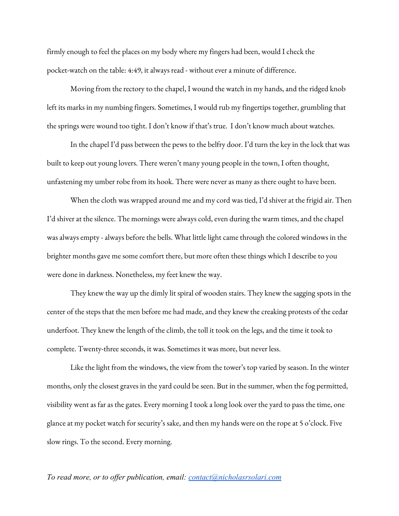firmly enough to feel the places on my body where my fingers had been, would I check the pocket-watch on the table: 4:49, it always read - without ever a minute of difference.

Moving from the rectory to the chapel, I wound the watch in my hands, and the ridged knob left its marks in my numbing fingers. Sometimes, I would rub my fingertips together, grumbling that the springs were wound too tight. I don't know if that's true. I don't know much about watches.

In the chapel I'd pass between the pews to the belfry door. I'd turn the key in the lock that was built to keep out young lovers. There weren't many young people in the town, I often thought, unfastening my umber robe from its hook. There were never as many as there ought to have been.

When the cloth was wrapped around me and my cord was tied, I'd shiver at the frigid air. Then I'd shiver at the silence. The mornings were always cold, even during the warm times, and the chapel was always empty - always before the bells. What little light came through the colored windows in the brighter months gave me some comfort there, but more often these things which I describe to you were done in darkness. Nonetheless, my feet knew the way.

They knew the way up the dimly lit spiral of wooden stairs. They knew the sagging spots in the center of the steps that the men before me had made, and they knew the creaking protests of the cedar underfoot. They knew the length of the climb, the toll it took on the legs, and the time it took to complete. Twenty-three seconds, it was. Sometimes it was more, but never less.

Like the light from the windows, the view from the tower's top varied by season. In the winter months, only the closest graves in the yard could be seen. But in the summer, when the fog permitted, visibility went as far as the gates. Every morning I took a long look over the yard to pass the time, one glance at my pocket watch for security's sake, and then my hands were on the rope at 5 o'clock. Five slow rings. To the second. Every morning.

*To read more, or to offer publication, email: [contact@nicholasrsolari.com](mailto:contact@nicholasrsolari.com)*